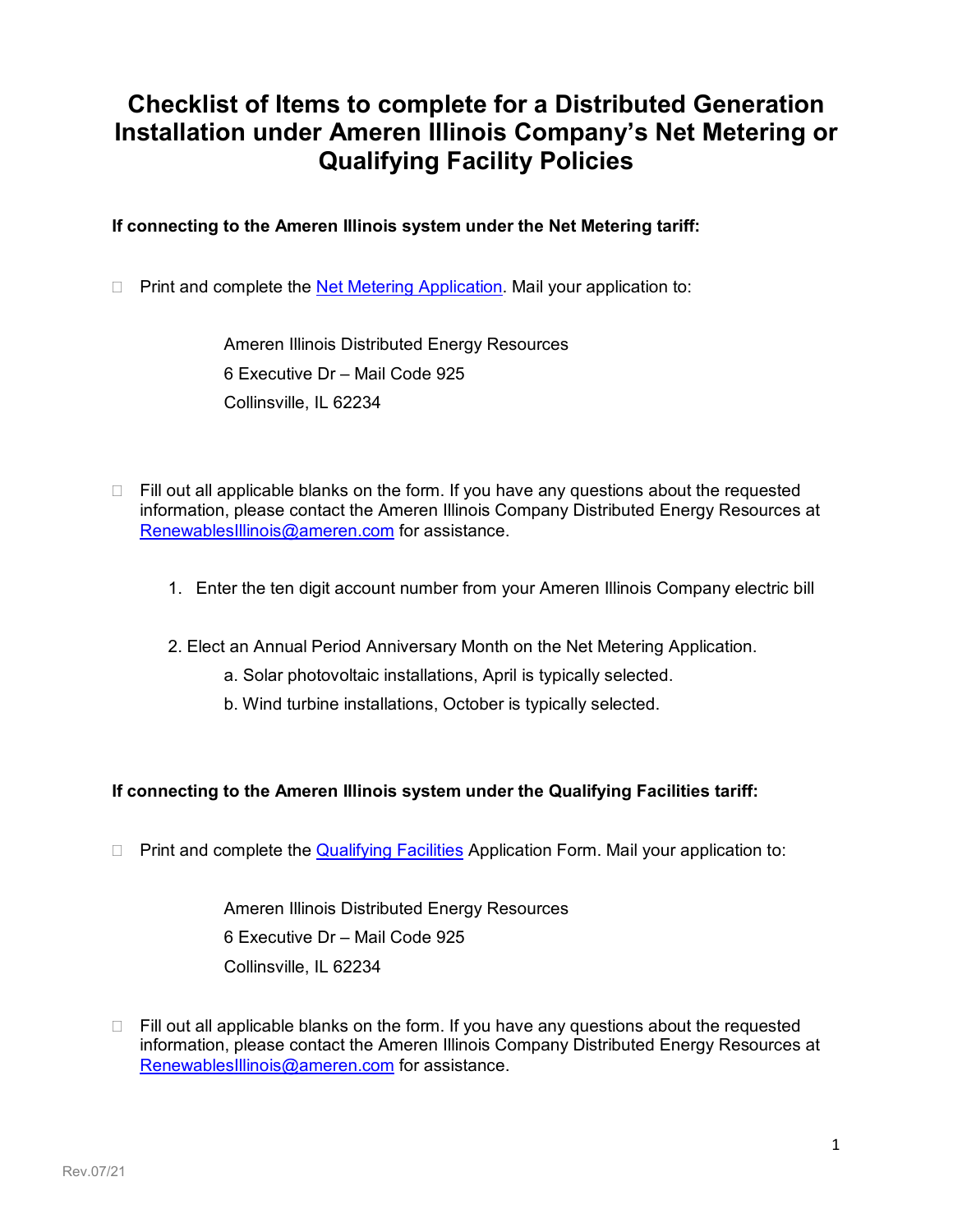# **Checklist of Items to complete for a Distributed Generation Installation under Ameren Illinois Company's Net Metering or Qualifying Facility Policies**

## **If connecting to the Ameren Illinois system under the Net Metering tariff:**

 $\Box$  Print and complete the [Net Metering Application.](https://www.ameren.com/-/media/illinois-site/Files/ElectricChoice/NetMeteringApplication.pdf) Mail your application to:

Ameren Illinois Distributed Energy Resources 6 Executive Dr – Mail Code 925 Collinsville, IL 62234

- $\Box$  Fill out all applicable blanks on the form. If you have any questions about the requested information, please contact the Ameren Illinois Company Distributed Energy Resources at [RenewablesIllinois@ameren.com](mailto:RenewablesIllinois@ameren.com)</u> for assistance.
	- 1. Enter the ten digit account number from your Ameren Illinois Company electric bill
	- 2. Elect an Annual Period Anniversary Month on the Net Metering Application.
		- a. Solar photovoltaic installations, April is typically selected.
		- b. Wind turbine installations, October is typically selected.

#### **If connecting to the Ameren Illinois system under the Qualifying Facilities tariff:**

 $\Box$  Print and complete the [Qualifying Facilities](https://q9u5x5a2.ssl.hwcdn.net/-/Media/Illinois-Site/Files/electricchoice/QualifyingFacAgreement.doc?la=en) Application Form. Mail your application to:

Ameren Illinois Distributed Energy Resources 6 Executive Dr – Mail Code 925 Collinsville, IL 62234

 $\Box$  Fill out all applicable blanks on the form. If you have any questions about the requested information, please contact the Ameren Illinois Company Distributed Energy Resources at [RenewablesIllinois@ameren.com](mailto:RenewablesIllinois@ameren.com) for assistance.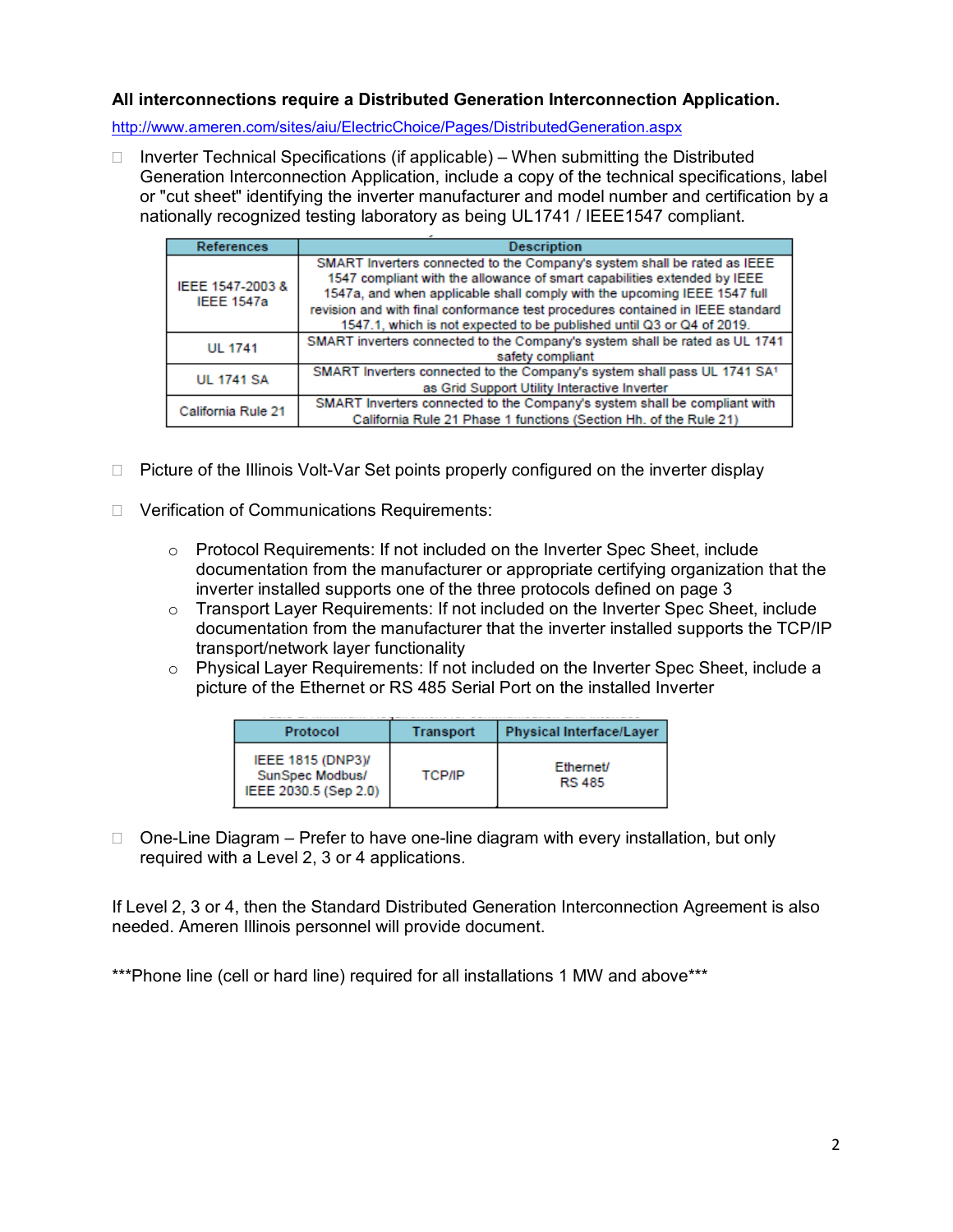### **All interconnections require a Distributed Generation Interconnection Application.**

<http://www.ameren.com/sites/aiu/ElectricChoice/Pages/DistributedGeneration.aspx>

 $\Box$  Inverter Technical Specifications (if applicable) – When submitting the Distributed Generation Interconnection Application, include a copy of the technical specifications, label or "cut sheet" identifying the inverter manufacturer and model number and certification by a nationally recognized testing laboratory as being UL1741 / IEEE1547 compliant.

| References                            | <b>Description</b>                                                                                                                                                                                                               |  |  |
|---------------------------------------|----------------------------------------------------------------------------------------------------------------------------------------------------------------------------------------------------------------------------------|--|--|
| IEEE 1547-2003 &<br><b>IEEE 1547a</b> | SMART Inverters connected to the Company's system shall be rated as IEEE<br>1547 compliant with the allowance of smart capabilities extended by IEEE<br>1547a, and when applicable shall comply with the upcoming IEEE 1547 full |  |  |
|                                       | revision and with final conformance test procedures contained in IEEE standard<br>1547.1, which is not expected to be published until Q3 or Q4 of 2019.                                                                          |  |  |
| <b>UL 1741</b>                        | SMART inverters connected to the Company's system shall be rated as UL 1741<br>safety compliant                                                                                                                                  |  |  |
| <b>UL 1741 SA</b>                     | SMART Inverters connected to the Company's system shall pass UL 1741 SA1<br>as Grid Support Utility Interactive Inverter                                                                                                         |  |  |
| California Rule 21                    | SMART Inverters connected to the Company's system shall be compliant with<br>California Rule 21 Phase 1 functions (Section Hh. of the Rule 21)                                                                                   |  |  |

- □ Picture of the Illinois Volt-Var Set points properly configured on the inverter display
- □ Verification of Communications Requirements:
	- o Protocol Requirements: If not included on the Inverter Spec Sheet, include documentation from the manufacturer or appropriate certifying organization that the inverter installed supports one of the three protocols defined on page 3
	- o Transport Layer Requirements: If not included on the Inverter Spec Sheet, include documentation from the manufacturer that the inverter installed supports the TCP/IP transport/network layer functionality
	- o Physical Layer Requirements: If not included on the Inverter Spec Sheet, include a picture of the Ethernet or RS 485 Serial Port on the installed Inverter

| Protocol                                                             | Transport | <b>Physical Interface/Layer</b> |  |
|----------------------------------------------------------------------|-----------|---------------------------------|--|
| <b>IEEE 1815 (DNP3)/</b><br>SunSpec Modbus/<br>IEEE 2030.5 (Sep 2.0) | ТСРЛР     | Ethernet/<br><b>RS 485</b>      |  |

 $\Box$  One-Line Diagram – Prefer to have one-line diagram with every installation, but only required with a Level 2, 3 or 4 applications.

If Level 2, 3 or 4, then the Standard Distributed Generation Interconnection Agreement is also needed. Ameren Illinois personnel will provide document.

\*\*\*Phone line (cell or hard line) required for all installations 1 MW and above\*\*\*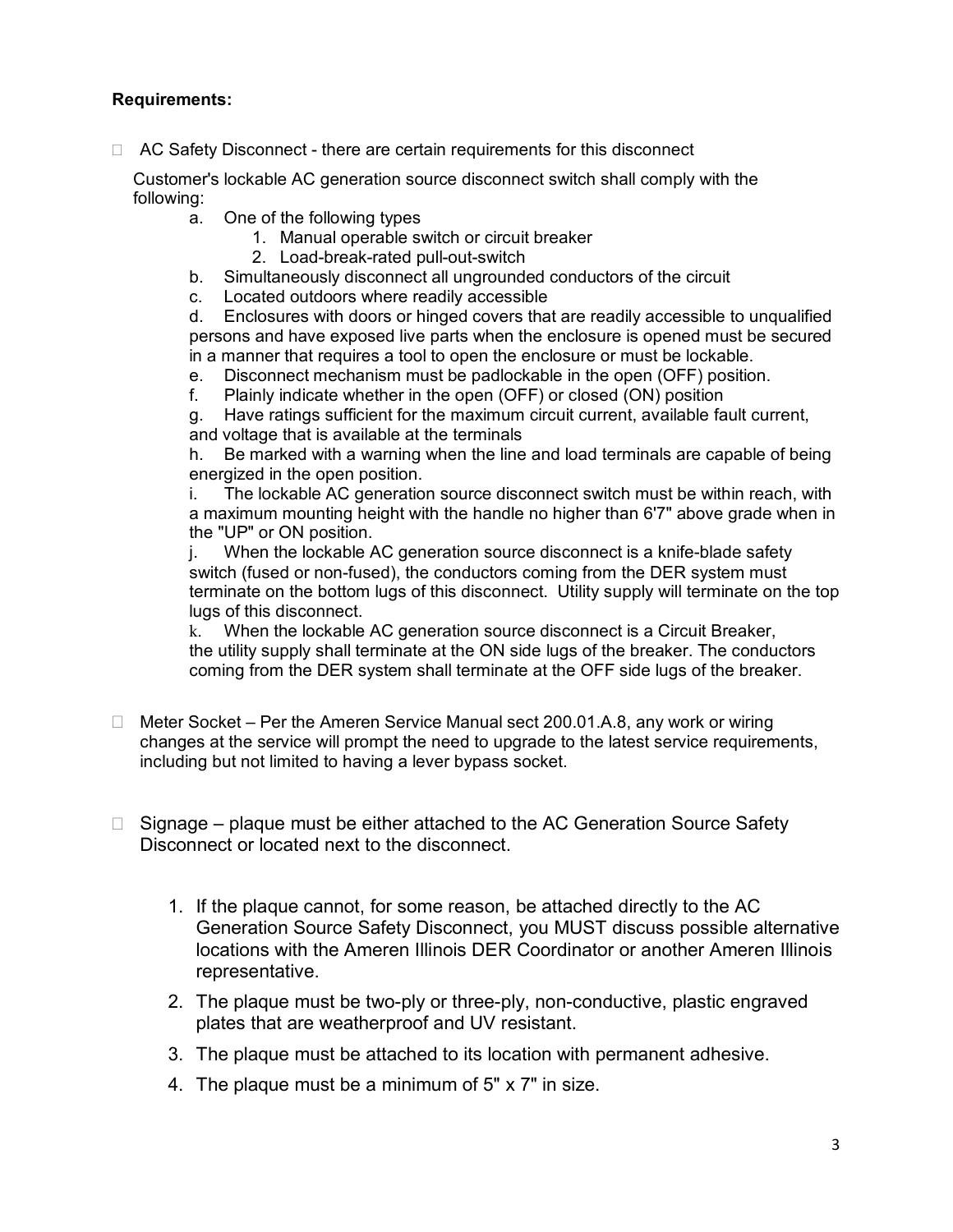## **Requirements:**

□ AC Safety Disconnect - there are certain requirements for this disconnect

Customer's lockable AC generation source disconnect switch shall comply with the following:

- a. One of the following types
	- 1. Manual operable switch or circuit breaker
	- 2. Load-break-rated pull-out-switch
- b. Simultaneously disconnect all ungrounded conductors of the circuit
- c. Located outdoors where readily accessible

d. Enclosures with doors or hinged covers that are readily accessible to unqualified persons and have exposed live parts when the enclosure is opened must be secured in a manner that requires a tool to open the enclosure or must be lockable.

- e. Disconnect mechanism must be padlockable in the open (OFF) position.
- f. Plainly indicate whether in the open (OFF) or closed (ON) position

g. Have ratings sufficient for the maximum circuit current, available fault current, and voltage that is available at the terminals

h. Be marked with a warning when the line and load terminals are capable of being energized in the open position.

i. The lockable AC generation source disconnect switch must be within reach, with a maximum mounting height with the handle no higher than 6'7" above grade when in the "UP" or ON position.

j. When the lockable AC generation source disconnect is a knife-blade safety switch (fused or non-fused), the conductors coming from the DER system must terminate on the bottom lugs of this disconnect. Utility supply will terminate on the top lugs of this disconnect.

k. When the lockable AC generation source disconnect is a Circuit Breaker, the utility supply shall terminate at the ON side lugs of the breaker. The conductors coming from the DER system shall terminate at the OFF side lugs of the breaker.

- $\Box$  Meter Socket Per the Ameren Service Manual sect 200.01.A.8, any work or wiring changes at the service will prompt the need to upgrade to the latest service requirements, including but not limited to having a lever bypass socket.
- $\Box$  Signage plague must be either attached to the AC Generation Source Safety Disconnect or located next to the disconnect.
	- 1. If the plaque cannot, for some reason, be attached directly to the AC Generation Source Safety Disconnect, you MUST discuss possible alternative locations with the Ameren Illinois DER Coordinator or another Ameren Illinois representative.
	- 2. The plaque must be two-ply or three-ply, non-conductive, plastic engraved plates that are weatherproof and UV resistant.
	- 3. The plaque must be attached to its location with permanent adhesive.
	- 4. The plaque must be a minimum of 5" x 7" in size.